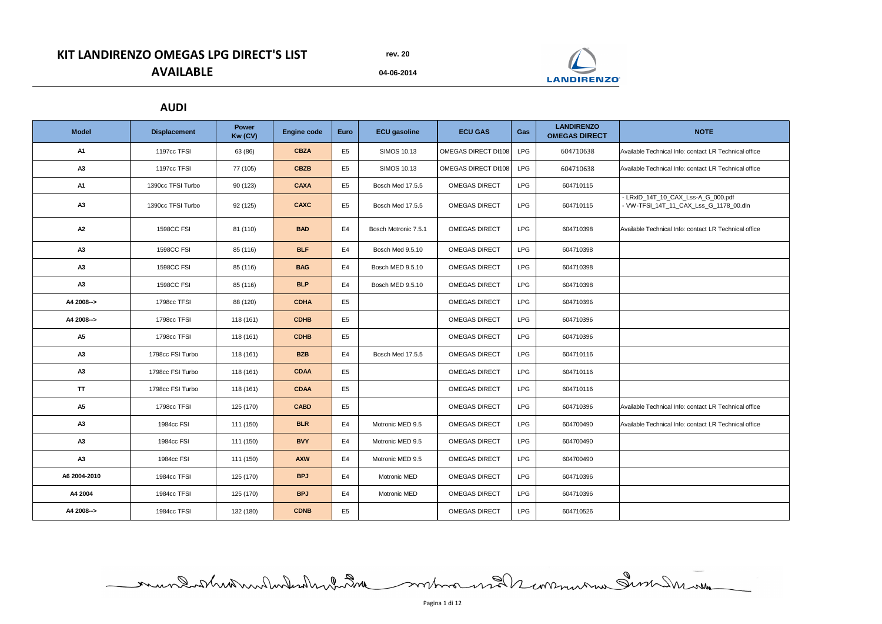**04-06-2014**

| <b>Model</b>   | <b>Displacement</b> | <b>Power</b><br>Kw (CV) | <b>Engine code</b> | <b>Euro</b>    | <b>ECU gasoline</b>     | <b>ECU GAS</b>       | <b>Gas</b> | <b>LANDIRENZO</b><br><b>OMEGAS DIRECT</b> | <b>NOTE</b>                                                                  |
|----------------|---------------------|-------------------------|--------------------|----------------|-------------------------|----------------------|------------|-------------------------------------------|------------------------------------------------------------------------------|
| <b>A1</b>      | 1197cc TFSI         | 63 (86)                 | <b>CBZA</b>        | E <sub>5</sub> | <b>SIMOS 10.13</b>      | OMEGAS DIRECT DI108  | <b>LPG</b> | 604710638                                 | Available Technical Info: contact LR Technical office                        |
| A3             | 1197cc TFSI         | 77 (105)                | <b>CBZB</b>        | E <sub>5</sub> | <b>SIMOS 10.13</b>      | OMEGAS DIRECT DI108  | <b>LPG</b> | 604710638                                 | Available Technical Info: contact LR Technical office                        |
| <b>A1</b>      | 1390cc TFSI Turbo   | 90 (123)                | <b>CAXA</b>        | E5             | Bosch Med 17.5.5        | <b>OMEGAS DIRECT</b> | <b>LPG</b> | 604710115                                 |                                                                              |
| A <sub>3</sub> | 1390cc TFSI Turbo   | 92 (125)                | <b>CAXC</b>        | E <sub>5</sub> | Bosch Med 17.5.5        | <b>OMEGAS DIRECT</b> | <b>LPG</b> | 604710115                                 | - LRxID_14T_10_CAX_Lss-A_G_000.pdf<br>- VW-TFSI_14T_11_CAX_Lss_G_1178_00.dln |
| A2             | <b>1598CC FSI</b>   | 81 (110)                | <b>BAD</b>         | E4             | Bosch Motronic 7.5.1    | <b>OMEGAS DIRECT</b> | <b>LPG</b> | 604710398                                 | Available Technical Info: contact LR Technical office                        |
| A3             | <b>1598CC FSI</b>   | 85 (116)                | <b>BLF</b>         | E4             | Bosch Med 9.5.10        | <b>OMEGAS DIRECT</b> | <b>LPG</b> | 604710398                                 |                                                                              |
| A <sub>3</sub> | <b>1598CC FSI</b>   | 85 (116)                | <b>BAG</b>         | E4             | <b>Bosch MED 9.5.10</b> | <b>OMEGAS DIRECT</b> | <b>LPG</b> | 604710398                                 |                                                                              |
| A3             | <b>1598CC FSI</b>   | 85 (116)                | <b>BLP</b>         | E4             | Bosch MED 9.5.10        | <b>OMEGAS DIRECT</b> | <b>LPG</b> | 604710398                                 |                                                                              |
| A4 2008-->     | 1798cc TFSI         | 88 (120)                | <b>CDHA</b>        | E <sub>5</sub> |                         | <b>OMEGAS DIRECT</b> | <b>LPG</b> | 604710396                                 |                                                                              |
| A4 2008-->     | 1798cc TFSI         | 118 (161)               | <b>CDHB</b>        | E <sub>5</sub> |                         | <b>OMEGAS DIRECT</b> | <b>LPG</b> | 604710396                                 |                                                                              |
| <b>A5</b>      | 1798cc TFSI         | 118 (161)               | <b>CDHB</b>        | E <sub>5</sub> |                         | <b>OMEGAS DIRECT</b> | <b>LPG</b> | 604710396                                 |                                                                              |
| A3             | 1798cc FSI Turbo    | 118 (161)               | <b>BZB</b>         | E4             | Bosch Med 17.5.5        | <b>OMEGAS DIRECT</b> | <b>LPG</b> | 604710116                                 |                                                                              |
| A3             | 1798cc FSI Turbo    | 118 (161)               | <b>CDAA</b>        | E <sub>5</sub> |                         | <b>OMEGAS DIRECT</b> | <b>LPG</b> | 604710116                                 |                                                                              |
| <b>TT</b>      | 1798cc FSI Turbo    | 118 (161)               | <b>CDAA</b>        | E <sub>5</sub> |                         | <b>OMEGAS DIRECT</b> | <b>LPG</b> | 604710116                                 |                                                                              |
| <b>A5</b>      | 1798cc TFSI         | 125 (170)               | <b>CABD</b>        | E <sub>5</sub> |                         | <b>OMEGAS DIRECT</b> | <b>LPG</b> | 604710396                                 | Available Technical Info: contact LR Technical office                        |
| A3             | 1984cc FSI          | 111 (150)               | <b>BLR</b>         | E4             | Motronic MED 9.5        | <b>OMEGAS DIRECT</b> | <b>LPG</b> | 604700490                                 | Available Technical Info: contact LR Technical office                        |
| A3             | 1984cc FSI          | 111 (150)               | <b>BVY</b>         | E4             | Motronic MED 9.5        | <b>OMEGAS DIRECT</b> | <b>LPG</b> | 604700490                                 |                                                                              |
| A3             | 1984cc FSI          | 111 (150)               | <b>AXW</b>         | E4             | Motronic MED 9.5        | <b>OMEGAS DIRECT</b> | <b>LPG</b> | 604700490                                 |                                                                              |
| A6 2004-2010   | 1984cc TFSI         | 125 (170)               | <b>BPJ</b>         | E4             | Motronic MED            | <b>OMEGAS DIRECT</b> | <b>LPG</b> | 604710396                                 |                                                                              |
| A4 2004        | 1984cc TFSI         | 125 (170)               | <b>BPJ</b>         | E4             | Motronic MED            | <b>OMEGAS DIRECT</b> | <b>LPG</b> | 604710396                                 |                                                                              |
| A4 2008-->     | 1984cc TFSI         | 132 (180)               | <b>CDNB</b>        | E <sub>5</sub> |                         | <b>OMEGAS DIRECT</b> | <b>LPG</b> | 604710526                                 |                                                                              |

mundistribution des montages en 1998

# **KIT LANDIRENZO OMEGAS LPG DIRECT'S LIST AVAILABLE**

### **AUDI**



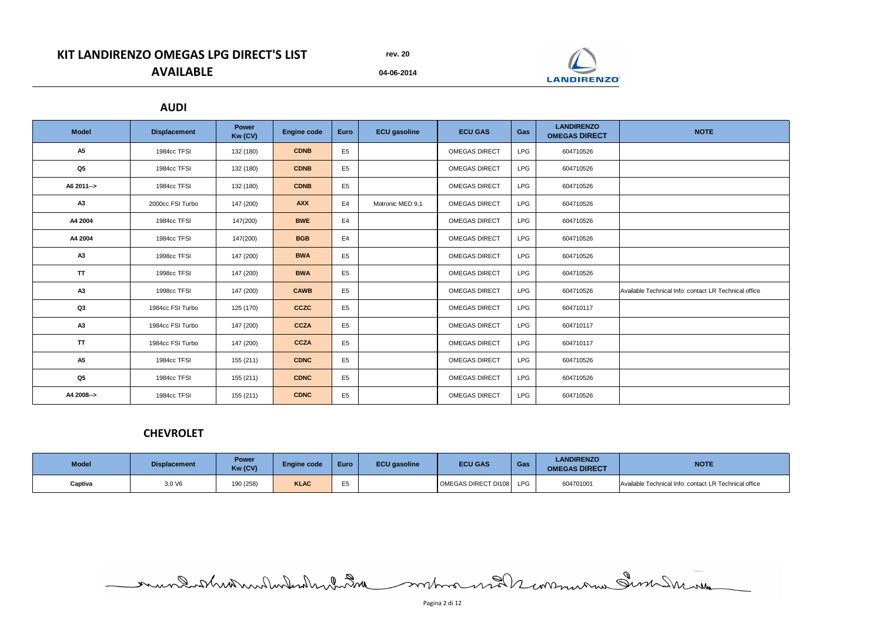**04-06-2014**

# **KIT LANDIRENZO OMEGAS LPG DIRECT'S LIST AVAILABLE**

| <b>Model</b>   | <b>Displacement</b> | <b>Power</b><br>Kw (CV) | <b>Engine code</b> | <b>Euro</b>    | <b>ECU</b> gasoline | <b>ECU GAS</b>       | Gas        | <b>LANDIRENZO</b><br><b>OMEGAS DIRECT</b> | <b>NOTE</b>                                           |
|----------------|---------------------|-------------------------|--------------------|----------------|---------------------|----------------------|------------|-------------------------------------------|-------------------------------------------------------|
| <b>A5</b>      | 1984cc TFSI         | 132 (180)               | <b>CDNB</b>        | E <sub>5</sub> |                     | <b>OMEGAS DIRECT</b> | <b>LPG</b> | 604710526                                 |                                                       |
| Q <sub>5</sub> | 1984cc TFSI         | 132 (180)               | <b>CDNB</b>        | E <sub>5</sub> |                     | <b>OMEGAS DIRECT</b> | <b>LPG</b> | 604710526                                 |                                                       |
| A6 2011-->     | 1984cc TFSI         | 132 (180)               | <b>CDNB</b>        | E <sub>5</sub> |                     | <b>OMEGAS DIRECT</b> | <b>LPG</b> | 604710526                                 |                                                       |
| A3             | 2000cc FSI Turbo    | 147 (200)               | <b>AXX</b>         | E4             | Motronic MED 9.1    | <b>OMEGAS DIRECT</b> | <b>LPG</b> | 604710526                                 |                                                       |
| A4 2004        | 1984cc TFSI         | 147(200)                | <b>BWE</b>         | E <sub>4</sub> |                     | <b>OMEGAS DIRECT</b> | <b>LPG</b> | 604710526                                 |                                                       |
| A4 2004        | 1984cc TFSI         | 147(200)                | <b>BGB</b>         | E4             |                     | <b>OMEGAS DIRECT</b> | <b>LPG</b> | 604710526                                 |                                                       |
| A3             | 1998cc TFSI         | 147 (200)               | <b>BWA</b>         | E <sub>5</sub> |                     | <b>OMEGAS DIRECT</b> | <b>LPG</b> | 604710526                                 |                                                       |
| <b>TT</b>      | 1998cc TFSI         | 147 (200)               | <b>BWA</b>         | E <sub>5</sub> |                     | <b>OMEGAS DIRECT</b> | <b>LPG</b> | 604710526                                 |                                                       |
| A3             | 1998cc TFSI         | 147 (200)               | <b>CAWB</b>        | E <sub>5</sub> |                     | <b>OMEGAS DIRECT</b> | <b>LPG</b> | 604710526                                 | Available Technical Info: contact LR Technical office |
| Q3             | 1984cc FSI Turbo    | 125 (170)               | <b>CCZC</b>        | E <sub>5</sub> |                     | <b>OMEGAS DIRECT</b> | <b>LPG</b> | 604710117                                 |                                                       |
| A3             | 1984cc FSI Turbo    | 147 (200)               | <b>CCZA</b>        | E <sub>5</sub> |                     | <b>OMEGAS DIRECT</b> | <b>LPG</b> | 604710117                                 |                                                       |
| <b>TT</b>      | 1984cc FSI Turbo    | 147 (200)               | <b>CCZA</b>        | E <sub>5</sub> |                     | <b>OMEGAS DIRECT</b> | <b>LPG</b> | 604710117                                 |                                                       |
| <b>A5</b>      | 1984cc TFSI         | 155 (211)               | <b>CDNC</b>        | E <sub>5</sub> |                     | <b>OMEGAS DIRECT</b> | <b>LPG</b> | 604710526                                 |                                                       |
| Q <sub>5</sub> | 1984cc TFSI         | 155 (211)               | <b>CDNC</b>        | E <sub>5</sub> |                     | <b>OMEGAS DIRECT</b> | <b>LPG</b> | 604710526                                 |                                                       |
| A4 2008-->     | 1984cc TFSI         | 155 (211)               | <b>CDNC</b>        | E <sub>5</sub> |                     | <b>OMEGAS DIRECT</b> | <b>LPG</b> | 604710526                                 |                                                       |

| <b>Model</b> | <b>Displacement</b> | <b>Power</b><br>Kw (CV) | <b>Engine code</b> | Euro | <b>ECU</b> gasoline | <b>ECU GAS</b>      | Gas        | <b>LANDIRENZO</b><br><b>OMEGAS DIRECT</b> | <b>NOTE</b>                                           |
|--------------|---------------------|-------------------------|--------------------|------|---------------------|---------------------|------------|-------------------------------------------|-------------------------------------------------------|
| Captiva      | 3,0 V6              | 190 (258)               | <b>KLAC</b>        |      |                     | OMEGAS DIRECT DI108 | <b>LPG</b> | 604701001                                 | Available Technical Info: contact LR Technical office |

mundistrionnonluteralement de contra mander communau Sum Insuran

### **AUDI**

## **CHEVROLET**



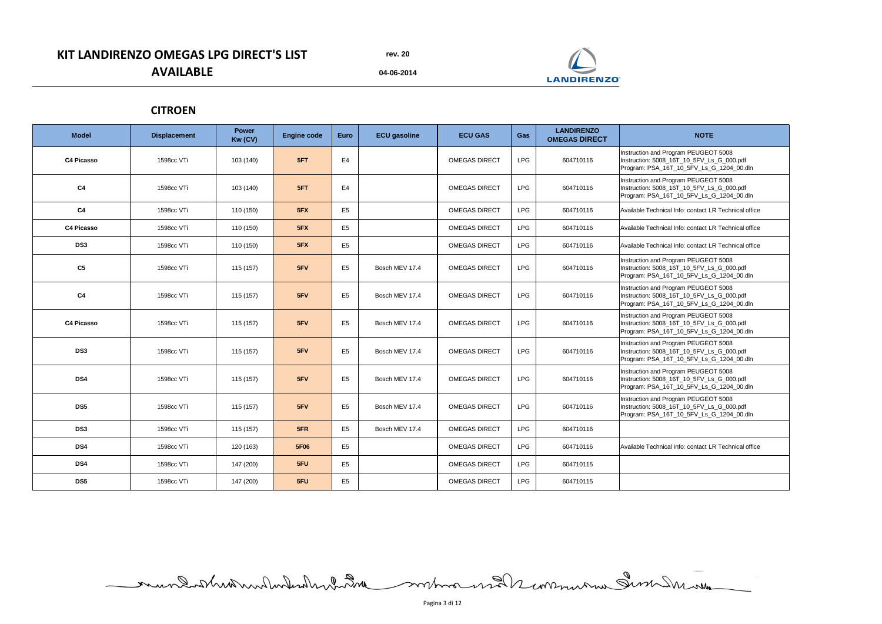**04-06-2014**

# **KIT LANDIRENZO OMEGAS LPG DIRECT'S LIST AVAILABLE**

| <b>Model</b>      | <b>Displacement</b> | <b>Power</b><br>Kw (CV) | <b>Engine code</b> | <b>Euro</b>    | <b>ECU</b> gasoline | <b>ECU GAS</b>       | Gas        | <b>LANDIRENZO</b><br><b>OMEGAS DIRECT</b> | <b>NOTE</b>                                                                                                                   |
|-------------------|---------------------|-------------------------|--------------------|----------------|---------------------|----------------------|------------|-------------------------------------------|-------------------------------------------------------------------------------------------------------------------------------|
| <b>C4 Picasso</b> | 1598cc VTi          | 103 (140)               | 5FT                | E4             |                     | <b>OMEGAS DIRECT</b> | <b>LPG</b> | 604710116                                 | Instruction and Program PEUGEOT 5008<br>Instruction: 5008_16T_10_5FV_Ls_G_000.pdf<br>Program: PSA_16T_10_5FV_Ls_G_1204_00.dln |
| C <sub>4</sub>    | 1598cc VTi          | 103 (140)               | 5FT                | E4             |                     | <b>OMEGAS DIRECT</b> | <b>LPG</b> | 604710116                                 | Instruction and Program PEUGEOT 5008<br>Instruction: 5008_16T_10_5FV_Ls_G_000.pdf<br>Program: PSA_16T_10_5FV_Ls_G_1204_00.dln |
| C <sub>4</sub>    | 1598cc VTi          | 110 (150)               | 5FX                | E <sub>5</sub> |                     | <b>OMEGAS DIRECT</b> | <b>LPG</b> | 604710116                                 | Available Technical Info: contact LR Technical office                                                                         |
| <b>C4 Picasso</b> | 1598cc VTi          | 110 (150)               | 5FX                | E <sub>5</sub> |                     | <b>OMEGAS DIRECT</b> | <b>LPG</b> | 604710116                                 | Available Technical Info: contact LR Technical office                                                                         |
| DS <sub>3</sub>   | 1598cc VTi          | 110 (150)               | 5FX                | E <sub>5</sub> |                     | <b>OMEGAS DIRECT</b> | <b>LPG</b> | 604710116                                 | Available Technical Info: contact LR Technical office                                                                         |
| C <sub>5</sub>    | 1598cc VTi          | 115 (157)               | 5FV                | E <sub>5</sub> | Bosch MEV 17.4      | <b>OMEGAS DIRECT</b> | <b>LPG</b> | 604710116                                 | Instruction and Program PEUGEOT 5008<br>Instruction: 5008_16T_10_5FV_Ls_G_000.pdf<br>Program: PSA_16T_10_5FV_Ls_G_1204_00.dln |
| C <sub>4</sub>    | 1598cc VTi          | 115 (157)               | 5FV                | E <sub>5</sub> | Bosch MEV 17.4      | <b>OMEGAS DIRECT</b> | <b>LPG</b> | 604710116                                 | Instruction and Program PEUGEOT 5008<br>Instruction: 5008_16T_10_5FV_Ls_G_000.pdf<br>Program: PSA_16T_10_5FV_Ls_G_1204_00.dln |
| <b>C4 Picasso</b> | 1598cc VTi          | 115 (157)               | 5FV                | E <sub>5</sub> | Bosch MEV 17.4      | <b>OMEGAS DIRECT</b> | <b>LPG</b> | 604710116                                 | Instruction and Program PEUGEOT 5008<br>Instruction: 5008_16T_10_5FV_Ls_G_000.pdf<br>Program: PSA_16T_10_5FV_Ls_G_1204_00.dln |
| DS <sub>3</sub>   | 1598cc VTi          | 115 (157)               | 5FV                | E <sub>5</sub> | Bosch MEV 17.4      | <b>OMEGAS DIRECT</b> | <b>LPG</b> | 604710116                                 | Instruction and Program PEUGEOT 5008<br>Instruction: 5008_16T_10_5FV_Ls_G_000.pdf<br>Program: PSA_16T_10_5FV_Ls_G_1204_00.dln |
| DS4               | 1598cc VTi          | 115 (157)               | 5FV                | E <sub>5</sub> | Bosch MEV 17.4      | <b>OMEGAS DIRECT</b> | <b>LPG</b> | 604710116                                 | Instruction and Program PEUGEOT 5008<br>Instruction: 5008_16T_10_5FV_Ls_G_000.pdf<br>Program: PSA_16T_10_5FV_Ls_G_1204_00.dln |
| DS5               | 1598cc VTi          | 115 (157)               | 5FV                | E <sub>5</sub> | Bosch MEV 17.4      | <b>OMEGAS DIRECT</b> | <b>LPG</b> | 604710116                                 | Instruction and Program PEUGEOT 5008<br>Instruction: 5008_16T_10_5FV_Ls_G_000.pdf<br>Program: PSA_16T_10_5FV_Ls_G_1204_00.dln |
| DS <sub>3</sub>   | 1598cc VTi          | 115 (157)               | 5FR                | E <sub>5</sub> | Bosch MEV 17.4      | <b>OMEGAS DIRECT</b> | <b>LPG</b> | 604710116                                 |                                                                                                                               |
| DS4               | 1598cc VTi          | 120 (163)               | <b>5F06</b>        | E <sub>5</sub> |                     | <b>OMEGAS DIRECT</b> | <b>LPG</b> | 604710116                                 | Available Technical Info: contact LR Technical office                                                                         |
| DS4               | 1598cc VTi          | 147 (200)               | 5FU                | E <sub>5</sub> |                     | <b>OMEGAS DIRECT</b> | <b>LPG</b> | 604710115                                 |                                                                                                                               |
| DS5               | 1598cc VTi          | 147 (200)               | 5FU                | E <sub>5</sub> |                     | <b>OMEGAS DIRECT</b> | <b>LPG</b> | 604710115                                 |                                                                                                                               |

mundistrionnonluteralement de contra mander communau Sum Insuran

### **CITROEN**



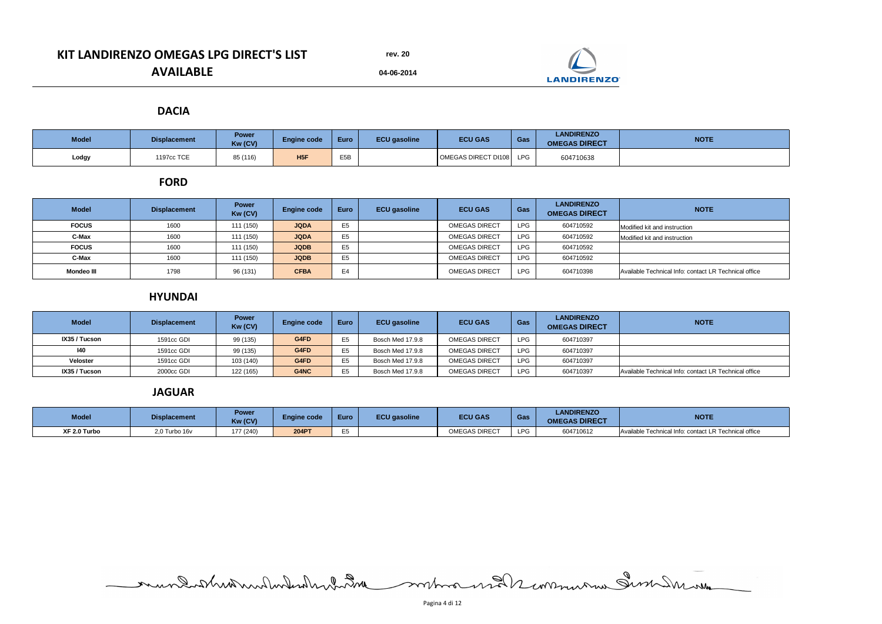**04-06-2014**

# **KIT LANDIRENZO OMEGAS LPG DIRECT'S LIST AVAILABLE**

| <b>Model</b> | <b>Displacement</b> | <b>Power</b><br>Kw (CV) | <b>Engine code</b> | Euro             | <b>ECU</b> gasoline | <b>ECU GAS</b>      | Gas        | <b>LANDIRENZO</b><br><b>OMEGAS DIRECT</b> | <b>NOTE</b> |
|--------------|---------------------|-------------------------|--------------------|------------------|---------------------|---------------------|------------|-------------------------------------------|-------------|
| Lodgy        | 1197cc TCE          | 85 (116)                | H <sub>5F</sub>    | <b>E5R</b><br>ᄂ୰ |                     | OMEGAS DIRECT DI108 | <b>LPG</b> | 604710638                                 |             |

| <b>Model</b>      | <b>Displacement</b> | <b>Power</b><br>Kw (CV) | <b>Engine code</b> | <b>Euro</b>    | <b>ECU</b> gasoline | <b>ECU GAS</b>       | Gas        | <b>LANDIRENZO</b><br><b>OMEGAS DIRECT</b> | <b>NOTE</b>                                           |
|-------------------|---------------------|-------------------------|--------------------|----------------|---------------------|----------------------|------------|-------------------------------------------|-------------------------------------------------------|
| <b>FOCUS</b>      | 1600                | 111 (150)               | <b>JQDA</b>        | E <sub>5</sub> |                     | <b>OMEGAS DIRECT</b> | <b>LPG</b> | 604710592                                 | Modified kit and instruction                          |
| <b>C-Max</b>      | 1600                | 111 (150)               | <b>JQDA</b>        | E <sub>5</sub> |                     | <b>OMEGAS DIRECT</b> | <b>LPG</b> | 604710592                                 | Modified kit and instruction                          |
| <b>FOCUS</b>      | 1600                | 111 (150)               | <b>JQDB</b>        | E <sub>5</sub> |                     | <b>OMEGAS DIRECT</b> | <b>LPG</b> | 604710592                                 |                                                       |
| C-Max             | 1600                | 111 (150)               | <b>JQDB</b>        | E <sub>5</sub> |                     | <b>OMEGAS DIRECT</b> | <b>LPG</b> | 604710592                                 |                                                       |
| <b>Mondeo III</b> | 1798                | 96 (131)                | <b>CFBA</b>        | E <sub>4</sub> |                     | <b>OMEGAS DIRECT</b> | LPG        | 604710398                                 | Available Technical Info: contact LR Technical office |

| <b>Model</b>    | <b>Displacement</b> | <b>Power</b><br>Kw (CV) | <b>Engine code</b> | <b>Euro</b> | <b>ECU gasoline</b> | <b>ECU GAS</b>       | Gas        | <b>LANDIRENZO</b><br><b>OMEGAS DIRECT</b> | <b>NOTE</b>                                           |
|-----------------|---------------------|-------------------------|--------------------|-------------|---------------------|----------------------|------------|-------------------------------------------|-------------------------------------------------------|
| IX35 / Tucson   | 1591cc GDI          | 99 (135)                | G4FD               | 日内          | Bosch Med 17.9.8    | <b>OMEGAS DIRECT</b> | <b>LPG</b> | 604710397                                 |                                                       |
| 140             | 1591cc GDI          | 99 (135)                | G4FD               | <b>F5</b>   | Bosch Med 17.9.8    | <b>OMEGAS DIRECT</b> | <b>LPG</b> | 604710397                                 |                                                       |
| <b>Veloster</b> | 1591cc GDI          | 103 (140)               | G4FD               | 日内          | Bosch Med 17.9.8    | <b>OMEGAS DIRECT</b> | <b>LPG</b> | 604710397                                 |                                                       |
| IX35 / Tucson   | 2000cc GDI          | 122 (165)               | G4NC               | 口に          | Bosch Med 17.9.8    | <b>OMEGAS DIRECT</b> | <b>LPG</b> | 604710397                                 | Available Technical Info: contact LR Technical office |

| <b>Model</b> | <b>Displacement</b> | <b>Power</b><br>Kw (CV) | <b>Engine code</b> | Euro  | <b>ECU</b> gasoline | <b>ECU GAS</b>       | Gas        | <b>LANDIRENZO</b><br><b>OMEGAS DIRECT</b> | <b>NOTE</b>                                           |
|--------------|---------------------|-------------------------|--------------------|-------|---------------------|----------------------|------------|-------------------------------------------|-------------------------------------------------------|
| XF 2.0 Turbo | 2,0 Turbo 16v       | 177 (240)               | <b>204PT</b>       | $- -$ |                     | <b>OMEGAS DIRECT</b> | <b>LPG</b> | 604710612                                 | Available Technical Info: contact LR Technical office |

mundatheater de la communication de la communication

### **HYUNDAI**

#### **FORD**

#### **DACIA**

#### **JAGUAR**



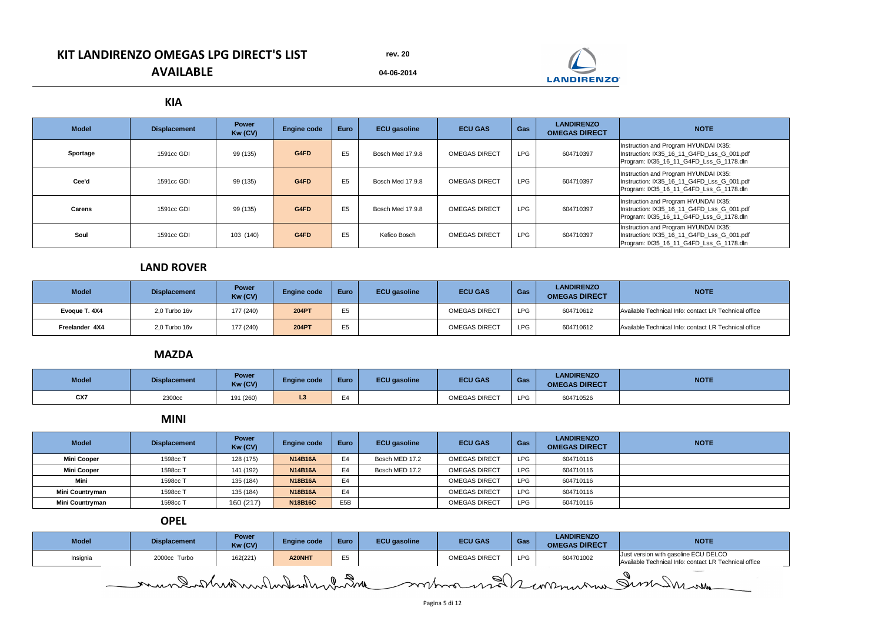**04-06-2014**

# **KIT LANDIRENZO OMEGAS LPG DIRECT'S LIST AVAILABLE**

| <b>Model</b>  | <b>Displacement</b> | <b>Power</b><br>Kw (CV) | <b>Engine code</b> | <b>Euro</b>    | <b>ECU gasoline</b> | <b>ECU GAS</b>       | Gas        | <b>LANDIRENZO</b><br><b>OMEGAS DIRECT</b> | <b>NOTE</b>                                                                                                                    |
|---------------|---------------------|-------------------------|--------------------|----------------|---------------------|----------------------|------------|-------------------------------------------|--------------------------------------------------------------------------------------------------------------------------------|
| Sportage      | 1591cc GDI          | 99 (135)                | G4FD               | E <sub>5</sub> | Bosch Med 17.9.8    | <b>OMEGAS DIRECT</b> | <b>LPG</b> | 604710397                                 | Instruction and Program HYUNDAI IX35:<br>Instruction: IX35_16_11_G4FD_Lss_G_001.pdf<br>Program: IX35_16_11_G4FD_Lss_G_1178.dln |
| Cee'd         | 1591cc GDI          | 99 (135)                | G4FD               | E <sub>5</sub> | Bosch Med 17.9.8    | <b>OMEGAS DIRECT</b> | <b>LPG</b> | 604710397                                 | Instruction and Program HYUNDAI IX35:<br>Instruction: IX35_16_11_G4FD_Lss_G_001.pdf<br>Program: IX35_16_11_G4FD_Lss_G_1178.dln |
| <b>Carens</b> | 1591cc GDI          | 99 (135)                | G4FD               | E <sub>5</sub> | Bosch Med 17.9.8    | <b>OMEGAS DIRECT</b> | <b>LPG</b> | 604710397                                 | Instruction and Program HYUNDAI IX35:<br>Instruction: IX35_16_11_G4FD_Lss_G_001.pdf<br>Program: IX35_16_11_G4FD_Lss_G_1178.dln |
| Soul          | 1591cc GDI          | 103 (140)               | G4FD               | E <sub>5</sub> | Kefico Bosch        | <b>OMEGAS DIRECT</b> | <b>LPG</b> | 604710397                                 | Instruction and Program HYUNDAI IX35:<br>Instruction: IX35_16_11_G4FD_Lss_G_001.pdf<br>Program: IX35_16_11_G4FD_Lss_G_1178.dln |

| <b>Model</b>   | <b>Displacement</b> | <b>Power</b><br>Kw (CV) | <b>Engine code</b> | <b>Euro</b> | <b>ECU gasoline</b> | <b>ECU GAS</b>       | Gas        | <b>LANDIRENZO</b><br><b>OMEGAS DIRECT</b> | <b>NOTE</b>                                           |
|----------------|---------------------|-------------------------|--------------------|-------------|---------------------|----------------------|------------|-------------------------------------------|-------------------------------------------------------|
| Evoque T. 4X4  | 2,0 Turbo 16v       | 177 (240)               | <b>204PT</b>       |             |                     | <b>OMEGAS DIRECT</b> | <b>LPG</b> | 604710612                                 | Available Technical Info: contact LR Technical office |
| Freelander 4X4 | $2,0$ Turbo 16 $v$  | 177 (240)               | <b>204PT</b>       |             |                     | <b>OMEGAS DIRECT</b> | <b>LPG</b> | 604710612                                 | Available Technical Info: contact LR Technical office |

| <b>Model</b> | <b>Displacement</b> | <b>Power</b><br>Kw (CV) | <b>Engine code</b> | Euro                     | <b>ECU gasoline</b> | <b>ECU GAS</b>       | Gas        | <b>LANDIRENZO</b><br><b>OMEGAS DIRECT</b> | <b>NOTE</b> |
|--------------|---------------------|-------------------------|--------------------|--------------------------|---------------------|----------------------|------------|-------------------------------------------|-------------|
| CX7          | 2300cc              | 191 (260)               | ⊷                  | $\overline{\phantom{0}}$ |                     | <b>OMEGAS DIRECT</b> | <b>LPG</b> | 604710526                                 |             |

| <b>Model</b>           | <b>Displacement</b> | <b>Power</b><br>Kw (CV) | <b>Engine code</b> | <b>Euro</b>      | <b>ECU gasoline</b> | <b>ECU GAS</b>       | Gas        | <b>LANDIRENZO</b><br><b>OMEGAS DIRECT</b> | <b>NOTE</b> |
|------------------------|---------------------|-------------------------|--------------------|------------------|---------------------|----------------------|------------|-------------------------------------------|-------------|
| <b>Mini Cooper</b>     | 1598cc T            | 128 (175)               | <b>N14B16A</b>     | E4               | Bosch MED 17.2      | <b>OMEGAS DIRECT</b> | <b>LPG</b> | 604710116                                 |             |
| <b>Mini Cooper</b>     | 1598cc T            | 141 (192)               | <b>N14B16A</b>     | E4               | Bosch MED 17.2      | <b>OMEGAS DIRECT</b> | <b>LPG</b> | 604710116                                 |             |
| Mini                   | 1598cc T            | 135 (184)               | <b>N18B16A</b>     | E4               |                     | <b>OMEGAS DIRECT</b> | <b>LPG</b> | 604710116                                 |             |
| <b>Mini Countryman</b> | 1598cc T            | 135 (184)               | <b>N18B16A</b>     | E4               |                     | <b>OMEGAS DIRECT</b> | <b>LPG</b> | 604710116                                 |             |
| <b>Mini Countryman</b> | 1598cc T            | 160 (217)               | <b>N18B16C</b>     | E <sub>5</sub> B |                     | <b>OMEGAS DIRECT</b> | <b>LPG</b> | 604710116                                 |             |

| <b>Model</b> | <b>Displacement</b> | <b>Power</b><br>Kw (CV) | <b>Engine code</b> | <b>Euro</b> | <b>ECU</b> gasoline | <b>ECU GAS</b>       | Gas        | <b>LANDIRENZO</b><br><b>OMEGAS DIRECT</b> | <b>NOTE</b>                                                                                   |
|--------------|---------------------|-------------------------|--------------------|-------------|---------------------|----------------------|------------|-------------------------------------------|-----------------------------------------------------------------------------------------------|
| Insignia     | 2000cc Turbo        | 162(221)                | A20NHT             |             |                     | <b>OMEGAS DIRECT</b> | <b>LPG</b> | 604701002                                 | Just version with gasoline ECU DELCO<br>Available Technical Info: contact LR Technical office |
|              |                     |                         |                    |             |                     |                      |            |                                           | <b>Construction Construction</b>                                                              |

mundatheater de de monday de la commandation de monda

#### **MINI**

#### **KIA**

## **LAND ROVER**

## **MAZDA**

## **OPEL**

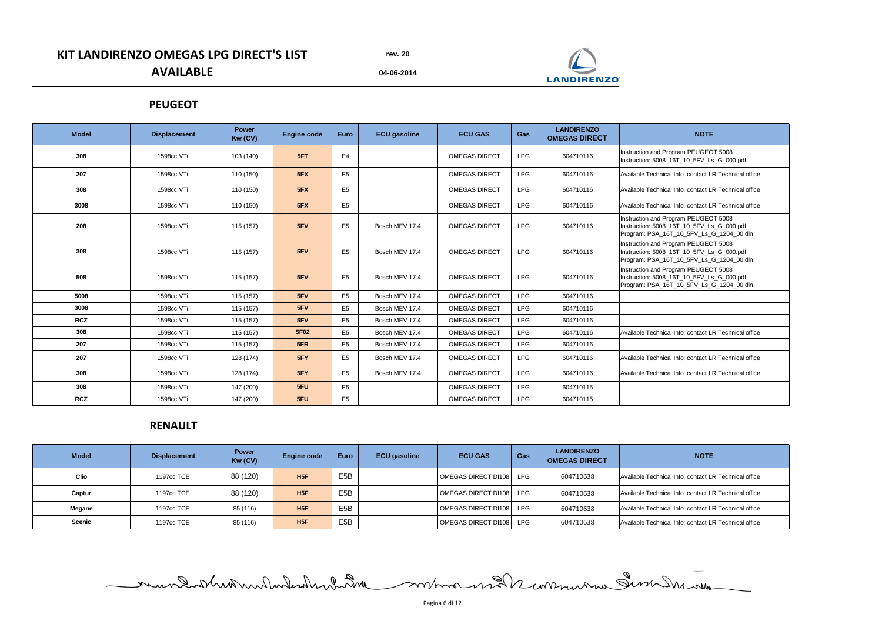**04-06-2014**

# **KIT LANDIRENZO OMEGAS LPG DIRECT'S LIST AVAILABLE**

| <b>Model</b> | <b>Displacement</b> | <b>Power</b><br>Kw (CV) | <b>Engine code</b> | <b>Euro</b>    | <b>ECU</b> gasoline | <b>ECU GAS</b>       | <b>Gas</b> | <b>LANDIRENZO</b><br><b>OMEGAS DIRECT</b> | <b>NOTE</b>                                                                                                                   |
|--------------|---------------------|-------------------------|--------------------|----------------|---------------------|----------------------|------------|-------------------------------------------|-------------------------------------------------------------------------------------------------------------------------------|
| 308          | 1598cc VTi          | 103 (140)               | 5FT                | E <sub>4</sub> |                     | <b>OMEGAS DIRECT</b> | <b>LPG</b> | 604710116                                 | Instruction and Program PEUGEOT 5008<br>Instruction: 5008_16T_10_5FV_Ls_G_000.pdf                                             |
| 207          | 1598cc VTi          | 110 (150)               | 5FX                | E <sub>5</sub> |                     | <b>OMEGAS DIRECT</b> | <b>LPG</b> | 604710116                                 | Available Technical Info: contact LR Technical office                                                                         |
| 308          | 1598cc VTi          | 110 (150)               | 5FX                | E <sub>5</sub> |                     | <b>OMEGAS DIRECT</b> | <b>LPG</b> | 604710116                                 | Available Technical Info: contact LR Technical office                                                                         |
| 3008         | 1598cc VTi          | 110 (150)               | 5FX                | E <sub>5</sub> |                     | <b>OMEGAS DIRECT</b> | <b>LPG</b> | 604710116                                 | Available Technical Info: contact LR Technical office                                                                         |
| 208          | 1598cc VTi          | 115 (157)               | 5FV                | E <sub>5</sub> | Bosch MEV 17.4      | <b>OMEGAS DIRECT</b> | <b>LPG</b> | 604710116                                 | Instruction and Program PEUGEOT 5008<br>Instruction: 5008_16T_10_5FV_Ls_G_000.pdf<br>Program: PSA_16T_10_5FV_Ls_G_1204_00.dln |
| 308          | 1598cc VTi          | 115 (157)               | 5FV                | E <sub>5</sub> | Bosch MEV 17.4      | <b>OMEGAS DIRECT</b> | <b>LPG</b> | 604710116                                 | Instruction and Program PEUGEOT 5008<br>Instruction: 5008_16T_10_5FV_Ls_G_000.pdf<br>Program: PSA_16T_10_5FV_Ls_G_1204_00.dln |
| 508          | 1598cc VTi          | 115 (157)               | 5FV                | E <sub>5</sub> | Bosch MEV 17.4      | <b>OMEGAS DIRECT</b> | <b>LPG</b> | 604710116                                 | Instruction and Program PEUGEOT 5008<br>Instruction: 5008_16T_10_5FV_Ls_G_000.pdf<br>Program: PSA_16T_10_5FV_Ls_G_1204_00.dln |
| 5008         | 1598cc VTi          | 115 (157)               | 5FV                | E <sub>5</sub> | Bosch MEV 17.4      | <b>OMEGAS DIRECT</b> | <b>LPG</b> | 604710116                                 |                                                                                                                               |
| 3008         | 1598cc VTi          | 115 (157)               | 5FV                | E <sub>5</sub> | Bosch MEV 17.4      | <b>OMEGAS DIRECT</b> | <b>LPG</b> | 604710116                                 |                                                                                                                               |
| <b>RCZ</b>   | 1598cc VTi          | 115 (157)               | 5FV                | E <sub>5</sub> | Bosch MEV 17.4      | <b>OMEGAS DIRECT</b> | <b>LPG</b> | 604710116                                 |                                                                                                                               |
| 308          | 1598cc VTi          | 115 (157)               | 5F02               | E <sub>5</sub> | Bosch MEV 17.4      | <b>OMEGAS DIRECT</b> | <b>LPG</b> | 604710116                                 | Available Technical Info: contact LR Technical office                                                                         |
| 207          | 1598cc VTi          | 115 (157)               | 5FR                | E <sub>5</sub> | Bosch MEV 17.4      | <b>OMEGAS DIRECT</b> | <b>LPG</b> | 604710116                                 |                                                                                                                               |
| 207          | 1598cc VTi          | 128 (174)               | 5FY                | E <sub>5</sub> | Bosch MEV 17.4      | <b>OMEGAS DIRECT</b> | <b>LPG</b> | 604710116                                 | Available Technical Info: contact LR Technical office                                                                         |
| 308          | 1598cc VTi          | 128 (174)               | 5FY                | E <sub>5</sub> | Bosch MEV 17.4      | <b>OMEGAS DIRECT</b> | <b>LPG</b> | 604710116                                 | Available Technical Info: contact LR Technical office                                                                         |
| 308          | 1598cc VTi          | 147 (200)               | 5FU                | E <sub>5</sub> |                     | <b>OMEGAS DIRECT</b> | <b>LPG</b> | 604710115                                 |                                                                                                                               |
| <b>RCZ</b>   | 1598cc VTi          | 147 (200)               | 5FU                | E <sub>5</sub> |                     | <b>OMEGAS DIRECT</b> | <b>LPG</b> | 604710115                                 |                                                                                                                               |

| <b>Model</b>  | <b>Displacement</b> | <b>Power</b><br>Kw (CV) | <b>Engine code</b> | <b>Euro</b>      | <b>ECU</b> gasoline | <b>ECU GAS</b>      | Gas        | <b>LANDIRENZO</b><br><b>OMEGAS DIRECT</b> | <b>NOTE</b>                                           |
|---------------|---------------------|-------------------------|--------------------|------------------|---------------------|---------------------|------------|-------------------------------------------|-------------------------------------------------------|
| <b>Clio</b>   | 1197cc TCE          | 88 (120)                | H5F                | E <sub>5</sub> B |                     | OMEGAS DIRECT DI108 | <b>LPG</b> | 604710638                                 | Available Technical Info: contact LR Technical office |
| Captur        | 1197cc TCE          | 88 (120)                | H5F                | E <sub>5</sub> B |                     | OMEGAS DIRECT DI108 | <b>LPG</b> | 604710638                                 | Available Technical Info: contact LR Technical office |
| <b>Megane</b> | 1197cc TCE          | 85 (116)                | H5F                | E <sub>5</sub> B |                     | OMEGAS DIRECT DI108 | <b>LPG</b> | 604710638                                 | Available Technical Info: contact LR Technical office |
| <b>Scenic</b> | 1197cc TCE          | 85 (116)                | H5F                | E <sub>5</sub> B |                     | OMEGAS DIRECT DI108 | <b>LPG</b> | 604710638                                 | Available Technical Info: contact LR Technical office |

### **PEUGEOT**

## **RENAULT**

Pagina 6 di 12

mundatheater de la communication de la communication



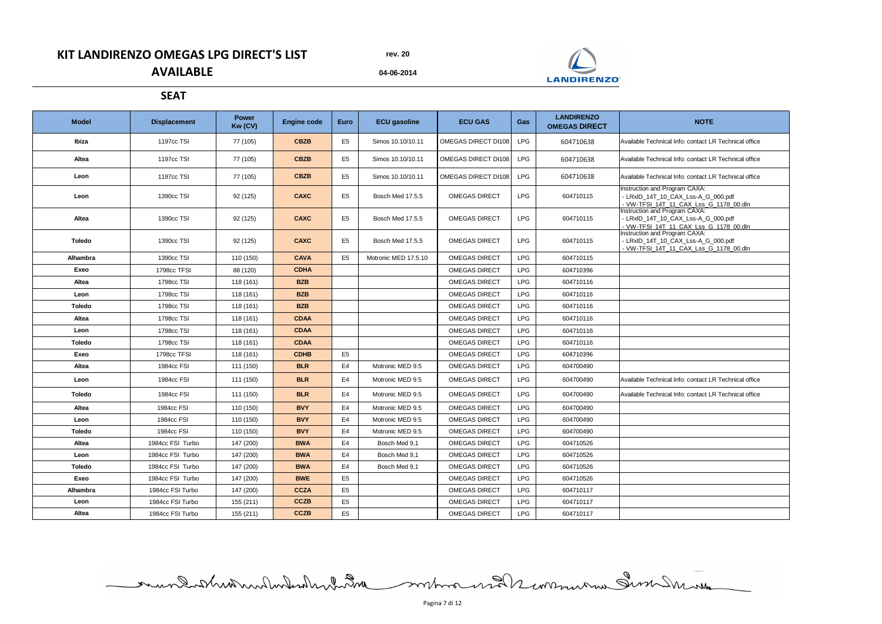**04-06-2014**

## **KIT LANDIRENZO OMEGAS LPG DIRECT'S LIST AVAILABLE**

| <b>Model</b>  | <b>Displacement</b> | <b>Power</b><br>Kw (CV) | <b>Engine code</b> | <b>Euro</b>    | <b>ECU gasoline</b>  | <b>ECU GAS</b>             | Gas        | <b>LANDIRENZO</b><br><b>OMEGAS DIRECT</b> | <b>NOTE</b>                                                                                                          |
|---------------|---------------------|-------------------------|--------------------|----------------|----------------------|----------------------------|------------|-------------------------------------------|----------------------------------------------------------------------------------------------------------------------|
| Ibiza         | 1197cc TSI          | 77 (105)                | <b>CBZB</b>        | E <sub>5</sub> | Simos 10.10/10.11    | <b>OMEGAS DIRECT DI108</b> | <b>LPG</b> | 604710638                                 | Available Technical Info: contact LR Technical office                                                                |
| <b>Altea</b>  | 1197cc TSI          | 77 (105)                | <b>CBZB</b>        | E <sub>5</sub> | Simos 10.10/10.11    | OMEGAS DIRECT DI108        | <b>LPG</b> | 604710638                                 | Available Technical Info: contact LR Technical office                                                                |
| Leon          | <b>1197cc TSI</b>   | 77 (105)                | <b>CBZB</b>        | E <sub>5</sub> | Simos 10.10/10.11    | <b>OMEGAS DIRECT DI108</b> | <b>LPG</b> | 604710638                                 | Available Technical Info: contact LR Technical office                                                                |
| Leon          | 1390cc TSI          | 92 (125)                | <b>CAXC</b>        | E <sub>5</sub> | Bosch Med 17.5.5     | <b>OMEGAS DIRECT</b>       | <b>LPG</b> | 604710115                                 | <b>Instruction and Program CAXA:</b><br>- LRxID 14T 10 CAX Lss-A G 000.pdf<br>- VW-TFSI_14T_11_CAX_Lss_G_1178_00.dln |
| <b>Altea</b>  | 1390cc TSI          | 92 (125)                | <b>CAXC</b>        | E <sub>5</sub> | Bosch Med 17.5.5     | <b>OMEGAS DIRECT</b>       | <b>LPG</b> | 604710115                                 | <b>Instruction and Program CAXA:</b><br>- LRxID_14T_10_CAX_Lss-A_G_000.pdf<br>- VW-TFSI 14T 11 CAX Lss G 1178 00.dln |
| <b>Toledo</b> | 1390cc TSI          | 92 (125)                | <b>CAXC</b>        | E <sub>5</sub> | Bosch Med 17.5.5     | <b>OMEGAS DIRECT</b>       | <b>LPG</b> | 604710115                                 | Instruction and Program CAXA:<br>- LRxID_14T_10_CAX_Lss-A_G_000.pdf<br>- VW-TFSI_14T_11_CAX_Lss_G_1178_00.dln        |
| Alhambra      | 1390cc TSI          | 110 (150)               | <b>CAVA</b>        | E <sub>5</sub> | Motronic MED 17.5.10 | <b>OMEGAS DIRECT</b>       | <b>LPG</b> | 604710115                                 |                                                                                                                      |
| Exeo          | 1798cc TFSI         | 88 (120)                | <b>CDHA</b>        |                |                      | <b>OMEGAS DIRECT</b>       | <b>LPG</b> | 604710396                                 |                                                                                                                      |
| <b>Altea</b>  | 1798cc TSI          | 118(161)                | <b>BZB</b>         |                |                      | <b>OMEGAS DIRECT</b>       | <b>LPG</b> | 604710116                                 |                                                                                                                      |
| Leon          | 1798cc TSI          | 118(161)                | <b>BZB</b>         |                |                      | <b>OMEGAS DIRECT</b>       | <b>LPG</b> | 604710116                                 |                                                                                                                      |
| <b>Toledo</b> | 1798cc TSI          | 118(161)                | <b>BZB</b>         |                |                      | <b>OMEGAS DIRECT</b>       | <b>LPG</b> | 604710116                                 |                                                                                                                      |
| <b>Altea</b>  | 1798cc TSI          | 118 (161)               | <b>CDAA</b>        |                |                      | <b>OMEGAS DIRECT</b>       | <b>LPG</b> | 604710116                                 |                                                                                                                      |
| Leon          | 1798cc TSI          | 118(161)                | <b>CDAA</b>        |                |                      | <b>OMEGAS DIRECT</b>       | <b>LPG</b> | 604710116                                 |                                                                                                                      |
| <b>Toledo</b> | 1798cc TSI          | 118 (161)               | <b>CDAA</b>        |                |                      | <b>OMEGAS DIRECT</b>       | <b>LPG</b> | 604710116                                 |                                                                                                                      |
| Exeo          | 1798cc TFSI         | 118 (161)               | <b>CDHB</b>        | E <sub>5</sub> |                      | <b>OMEGAS DIRECT</b>       | <b>LPG</b> | 604710396                                 |                                                                                                                      |
| Altea         | 1984cc FSI          | 111 (150)               | <b>BLR</b>         | E4             | Motronic MED 9.5     | <b>OMEGAS DIRECT</b>       | <b>LPG</b> | 604700490                                 |                                                                                                                      |
| Leon          | 1984cc FSI          | 111 (150)               | <b>BLR</b>         | E4             | Motronic MED 9.5     | <b>OMEGAS DIRECT</b>       | <b>LPG</b> | 604700490                                 | Available Technical Info: contact LR Technical office                                                                |
| <b>Toledo</b> | 1984cc FSI          | 111 (150)               | <b>BLR</b>         | E4             | Motronic MED 9.5     | <b>OMEGAS DIRECT</b>       | <b>LPG</b> | 604700490                                 | Available Technical Info: contact LR Technical office                                                                |
| Altea         | 1984cc FSI          | 110 (150)               | <b>BVY</b>         | E <sub>4</sub> | Motronic MED 9.5     | <b>OMEGAS DIRECT</b>       | <b>LPG</b> | 604700490                                 |                                                                                                                      |
| Leon          | 1984cc FSI          | 110 (150)               | <b>BVY</b>         | E4             | Motronic MED 9.5     | <b>OMEGAS DIRECT</b>       | <b>LPG</b> | 604700490                                 |                                                                                                                      |
| <b>Toledo</b> | 1984cc FSI          | 110 (150)               | <b>BVY</b>         | E4             | Motronic MED 9.5     | <b>OMEGAS DIRECT</b>       | <b>LPG</b> | 604700490                                 |                                                                                                                      |
| <b>Altea</b>  | 1984cc FSI Turbo    | 147 (200)               | <b>BWA</b>         | E4             | Bosch Med 9,1        | <b>OMEGAS DIRECT</b>       | <b>LPG</b> | 604710526                                 |                                                                                                                      |
| Leon          | 1984cc FSI Turbo    | 147 (200)               | <b>BWA</b>         | E4             | Bosch Med 9,1        | <b>OMEGAS DIRECT</b>       | <b>LPG</b> | 604710526                                 |                                                                                                                      |
| <b>Toledo</b> | 1984cc FSI Turbo    | 147 (200)               | <b>BWA</b>         | E <sub>4</sub> | Bosch Med 9,1        | <b>OMEGAS DIRECT</b>       | <b>LPG</b> | 604710526                                 |                                                                                                                      |
| Exeo          | 1984cc FSI Turbo    | 147 (200)               | <b>BWE</b>         | E <sub>5</sub> |                      | <b>OMEGAS DIRECT</b>       | <b>LPG</b> | 604710526                                 |                                                                                                                      |
| Alhambra      | 1984cc FSI Turbo    | 147 (200)               | <b>CCZA</b>        | E <sub>5</sub> |                      | <b>OMEGAS DIRECT</b>       | <b>LPG</b> | 604710117                                 |                                                                                                                      |
| Leon          | 1984cc FSI Turbo    | 155 (211)               | <b>CCZB</b>        | E <sub>5</sub> |                      | <b>OMEGAS DIRECT</b>       | <b>LPG</b> | 604710117                                 |                                                                                                                      |
| <b>Altea</b>  | 1984cc FSI Turbo    | 155 (211)               | <b>CCZB</b>        | E <sub>5</sub> |                      | <b>OMEGAS DIRECT</b>       | <b>LPG</b> | 604710117                                 |                                                                                                                      |

mundistrionnonluteralement de contra mander communau Sum Insuran

### **SEAT**



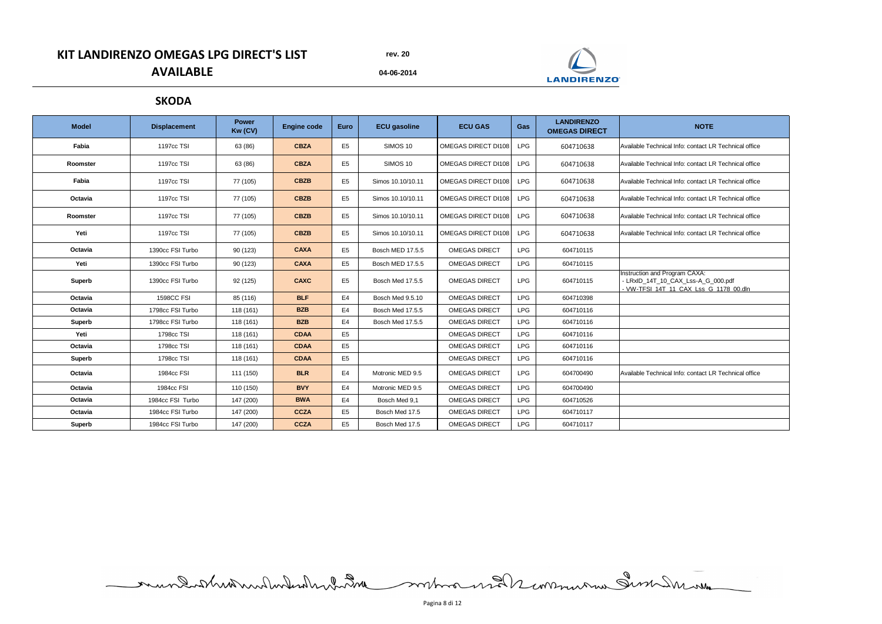**04-06-2014**

# **KIT LANDIRENZO OMEGAS LPG DIRECT'S LIST AVAILABLE**

| <b>Model</b>  | <b>Displacement</b> | <b>Power</b><br>Kw (CV) | <b>Engine code</b> | <b>Euro</b>    | <b>ECU gasoline</b>     | <b>ECU GAS</b>       | Gas        | <b>LANDIRENZO</b><br><b>OMEGAS DIRECT</b> | <b>NOTE</b>                                                                                                   |
|---------------|---------------------|-------------------------|--------------------|----------------|-------------------------|----------------------|------------|-------------------------------------------|---------------------------------------------------------------------------------------------------------------|
| Fabia         | 1197cc TSI          | 63 (86)                 | <b>CBZA</b>        | E <sub>5</sub> | SIMOS 10                | OMEGAS DIRECT DI108  | <b>LPG</b> | 604710638                                 | Available Technical Info: contact LR Technical office                                                         |
| Roomster      | 1197cc TSI          | 63 (86)                 | <b>CBZA</b>        | E <sub>5</sub> | SIMOS 10                | OMEGAS DIRECT DI108  | <b>LPG</b> | 604710638                                 | Available Technical Info: contact LR Technical office                                                         |
| Fabia         | 1197cc TSI          | 77 (105)                | <b>CBZB</b>        | E <sub>5</sub> | Simos 10.10/10.11       | OMEGAS DIRECT DI108  | <b>LPG</b> | 604710638                                 | Available Technical Info: contact LR Technical office                                                         |
| Octavia       | 1197cc TSI          | 77 (105)                | <b>CBZB</b>        | E <sub>5</sub> | Simos 10.10/10.11       | OMEGAS DIRECT DI108  | <b>LPG</b> | 604710638                                 | Available Technical Info: contact LR Technical office                                                         |
| Roomster      | 1197cc TSI          | 77 (105)                | <b>CBZB</b>        | E <sub>5</sub> | Simos 10.10/10.11       | OMEGAS DIRECT DI108  | <b>LPG</b> | 604710638                                 | Available Technical Info: contact LR Technical office                                                         |
| Yeti          | <b>1197cc TSI</b>   | 77 (105)                | <b>CBZB</b>        | E <sub>5</sub> | Simos 10.10/10.11       | OMEGAS DIRECT DI108  | <b>LPG</b> | 604710638                                 | Available Technical Info: contact LR Technical office                                                         |
| Octavia       | 1390cc FSI Turbo    | 90 (123)                | <b>CAXA</b>        | E <sub>5</sub> | <b>Bosch MED 17.5.5</b> | <b>OMEGAS DIRECT</b> | <b>LPG</b> | 604710115                                 |                                                                                                               |
| Yeti          | 1390cc FSI Turbo    | 90 (123)                | <b>CAXA</b>        | E <sub>5</sub> | <b>Bosch MED 17.5.5</b> | <b>OMEGAS DIRECT</b> | <b>LPG</b> | 604710115                                 |                                                                                                               |
| <b>Superb</b> | 1390cc FSI Turbo    | 92 (125)                | <b>CAXC</b>        | E <sub>5</sub> | Bosch Med 17.5.5        | <b>OMEGAS DIRECT</b> | <b>LPG</b> | 604710115                                 | Instruction and Program CAXA:<br>- LRxID_14T_10_CAX_Lss-A_G_000.pdf<br>- VW-TFSI 14T 11 CAX Lss G 1178 00.dln |
| Octavia       | <b>1598CC FSI</b>   | 85 (116)                | <b>BLF</b>         | E <sub>4</sub> | Bosch Med 9.5.10        | <b>OMEGAS DIRECT</b> | <b>LPG</b> | 604710398                                 |                                                                                                               |
| Octavia       | 1798cc FSI Turbo    | 118(161)                | <b>BZB</b>         | E <sub>4</sub> | Bosch Med 17.5.5        | <b>OMEGAS DIRECT</b> | <b>LPG</b> | 604710116                                 |                                                                                                               |
| <b>Superb</b> | 1798cc FSI Turbo    | 118(161)                | <b>BZB</b>         | E <sub>4</sub> | Bosch Med 17.5.5        | <b>OMEGAS DIRECT</b> | <b>LPG</b> | 604710116                                 |                                                                                                               |
| Yeti          | 1798cc TSI          | 118 (161)               | <b>CDAA</b>        | E <sub>5</sub> |                         | <b>OMEGAS DIRECT</b> | <b>LPG</b> | 604710116                                 |                                                                                                               |
| Octavia       | 1798cc TSI          | 118 (161)               | <b>CDAA</b>        | E <sub>5</sub> |                         | <b>OMEGAS DIRECT</b> | <b>LPG</b> | 604710116                                 |                                                                                                               |
| <b>Superb</b> | 1798cc TSI          | 118 (161)               | <b>CDAA</b>        | E <sub>5</sub> |                         | <b>OMEGAS DIRECT</b> | <b>LPG</b> | 604710116                                 |                                                                                                               |
| Octavia       | 1984cc FSI          | 111 (150)               | <b>BLR</b>         | E4             | Motronic MED 9.5        | <b>OMEGAS DIRECT</b> | <b>LPG</b> | 604700490                                 | Available Technical Info: contact LR Technical office                                                         |
| Octavia       | 1984cc FSI          | 110 (150)               | <b>BVY</b>         | E4             | Motronic MED 9.5        | <b>OMEGAS DIRECT</b> | <b>LPG</b> | 604700490                                 |                                                                                                               |
| Octavia       | 1984cc FSI Turbo    | 147 (200)               | <b>BWA</b>         | E4             | Bosch Med 9,1           | <b>OMEGAS DIRECT</b> | <b>LPG</b> | 604710526                                 |                                                                                                               |
| Octavia       | 1984cc FSI Turbo    | 147 (200)               | <b>CCZA</b>        | E <sub>5</sub> | Bosch Med 17.5          | <b>OMEGAS DIRECT</b> | <b>LPG</b> | 604710117                                 |                                                                                                               |
| <b>Superb</b> | 1984cc FSI Turbo    | 147 (200)               | <b>CCZA</b>        | E <sub>5</sub> | Bosch Med 17.5          | <b>OMEGAS DIRECT</b> | <b>LPG</b> | 604710117                                 |                                                                                                               |

mundistribution des montages en 1998

**SKODA**

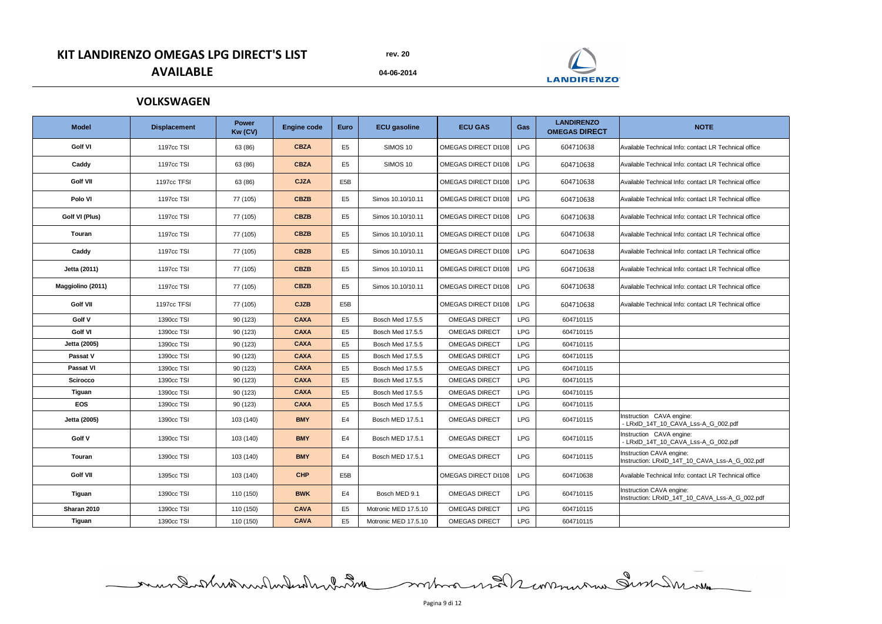**04-06-2014**

|  | ______ |
|--|--------|

# **KIT LANDIRENZO OMEGAS LPG DIRECT'S LIST AVAILABLE**

| <b>Model</b>      | <b>Displacement</b> | <b>Power</b><br>Kw (CV) | <b>Engine code</b> | <b>Euro</b>      | <b>ECU gasoline</b>  | <b>ECU GAS</b>             | Gas        | <b>LANDIRENZO</b><br><b>OMEGAS DIRECT</b> | <b>NOTE</b>                                                                |
|-------------------|---------------------|-------------------------|--------------------|------------------|----------------------|----------------------------|------------|-------------------------------------------|----------------------------------------------------------------------------|
| <b>Golf VI</b>    | 1197cc TSI          | 63 (86)                 | <b>CBZA</b>        | E <sub>5</sub>   | <b>SIMOS 10</b>      | <b>OMEGAS DIRECT DI108</b> | <b>LPG</b> | 604710638                                 | Available Technical Info: contact LR Technical office                      |
| Caddy             | 1197cc TSI          | 63 (86)                 | <b>CBZA</b>        | E <sub>5</sub>   | SIMOS 10             | OMEGAS DIRECT DI108        | <b>LPG</b> | 604710638                                 | Available Technical Info: contact LR Technical office                      |
| <b>Golf VII</b>   | 1197cc TFSI         | 63 (86)                 | <b>CJZA</b>        | E <sub>5</sub> B |                      | <b>OMEGAS DIRECT DI108</b> | <b>LPG</b> | 604710638                                 | Available Technical Info: contact LR Technical office                      |
| Polo VI           | 1197cc TSI          | 77 (105)                | <b>CBZB</b>        | E <sub>5</sub>   | Simos 10.10/10.11    | OMEGAS DIRECT DI108        | <b>LPG</b> | 604710638                                 | Available Technical Info: contact LR Technical office                      |
| Golf VI (Plus)    | 1197cc TSI          | 77 (105)                | <b>CBZB</b>        | E <sub>5</sub>   | Simos 10.10/10.11    | OMEGAS DIRECT DI108        | <b>LPG</b> | 604710638                                 | Available Technical Info: contact LR Technical office                      |
| <b>Touran</b>     | 1197cc TSI          | 77 (105)                | <b>CBZB</b>        | E <sub>5</sub>   | Simos 10.10/10.11    | OMEGAS DIRECT DI108        | <b>LPG</b> | 604710638                                 | Available Technical Info: contact LR Technical office                      |
| Caddy             | 1197cc TSI          | 77 (105)                | <b>CBZB</b>        | E <sub>5</sub>   | Simos 10.10/10.11    | OMEGAS DIRECT DI108        | <b>LPG</b> | 604710638                                 | Available Technical Info: contact LR Technical office                      |
| Jetta (2011)      | 1197cc TSI          | 77 (105)                | <b>CBZB</b>        | E <sub>5</sub>   | Simos 10.10/10.11    | OMEGAS DIRECT DI108        | <b>LPG</b> | 604710638                                 | Available Technical Info: contact LR Technical office                      |
| Maggiolino (2011) | 1197cc TSI          | 77 (105)                | <b>CBZB</b>        | E <sub>5</sub>   | Simos 10.10/10.11    | OMEGAS DIRECT DI108        | <b>LPG</b> | 604710638                                 | Available Technical Info: contact LR Technical office                      |
| <b>Golf VII</b>   | 1197cc TFSI         | 77 (105)                | <b>CJZB</b>        | E <sub>5</sub> B |                      | <b>OMEGAS DIRECT DI108</b> | <b>LPG</b> | 604710638                                 | Available Technical Info: contact LR Technical office                      |
| Golf V            | 1390cc TSI          | 90(123)                 | <b>CAXA</b>        | E <sub>5</sub>   | Bosch Med 17.5.5     | <b>OMEGAS DIRECT</b>       | <b>LPG</b> | 604710115                                 |                                                                            |
| <b>Golf VI</b>    | 1390cc TSI          | 90 (123)                | <b>CAXA</b>        | E <sub>5</sub>   | Bosch Med 17.5.5     | <b>OMEGAS DIRECT</b>       | <b>LPG</b> | 604710115                                 |                                                                            |
| Jetta (2005)      | 1390cc TSI          | 90(123)                 | <b>CAXA</b>        | E <sub>5</sub>   | Bosch Med 17.5.5     | <b>OMEGAS DIRECT</b>       | <b>LPG</b> | 604710115                                 |                                                                            |
| Passat V          | 1390cc TSI          | 90(123)                 | <b>CAXA</b>        | E <sub>5</sub>   | Bosch Med 17.5.5     | <b>OMEGAS DIRECT</b>       | <b>LPG</b> | 604710115                                 |                                                                            |
| <b>Passat VI</b>  | 1390cc TSI          | 90(123)                 | <b>CAXA</b>        | E <sub>5</sub>   | Bosch Med 17.5.5     | <b>OMEGAS DIRECT</b>       | <b>LPG</b> | 604710115                                 |                                                                            |
| <b>Scirocco</b>   | 1390cc TSI          | 90(123)                 | <b>CAXA</b>        | E <sub>5</sub>   | Bosch Med 17.5.5     | <b>OMEGAS DIRECT</b>       | <b>LPG</b> | 604710115                                 |                                                                            |
| <b>Tiguan</b>     | 1390cc TSI          | 90 (123)                | <b>CAXA</b>        | E <sub>5</sub>   | Bosch Med 17.5.5     | <b>OMEGAS DIRECT</b>       | <b>LPG</b> | 604710115                                 |                                                                            |
| <b>EOS</b>        | 1390cc TSI          | 90 (123)                | <b>CAXA</b>        | E <sub>5</sub>   | Bosch Med 17.5.5     | <b>OMEGAS DIRECT</b>       | <b>LPG</b> | 604710115                                 |                                                                            |
| Jetta (2005)      | 1390cc TSI          | 103 (140)               | <b>BMY</b>         | E4               | Bosch MED 17.5.1     | <b>OMEGAS DIRECT</b>       | <b>LPG</b> | 604710115                                 | Instruction CAVA engine:<br>- LRxID_14T_10_CAVA_Lss-A_G_002.pdf            |
| Golf V            | 1390cc TSI          | 103 (140)               | <b>BMY</b>         | E4               | Bosch MED 17.5.1     | <b>OMEGAS DIRECT</b>       | <b>LPG</b> | 604710115                                 | Instruction CAVA engine:<br>- LRxID_14T_10_CAVA_Lss-A_G_002.pdf            |
| <b>Touran</b>     | 1390cc TSI          | 103 (140)               | <b>BMY</b>         | E4               | Bosch MED 17.5.1     | <b>OMEGAS DIRECT</b>       | <b>LPG</b> | 604710115                                 | Instruction CAVA engine:<br>Instruction: LRxID_14T_10_CAVA_Lss-A_G_002.pdf |
| <b>Golf VII</b>   | 1395cc TSI          | 103 (140)               | <b>CHP</b>         | E <sub>5</sub> B |                      | <b>OMEGAS DIRECT DI108</b> | <b>LPG</b> | 604710638                                 | Available Technical Info: contact LR Technical office                      |
| <b>Tiguan</b>     | 1390cc TSI          | 110 (150)               | <b>BWK</b>         | E4               | Bosch MED 9.1        | <b>OMEGAS DIRECT</b>       | <b>LPG</b> | 604710115                                 | Instruction CAVA engine:<br>Instruction: LRxID_14T_10_CAVA_Lss-A_G_002.pdf |
| Sharan 2010       | 1390cc TSI          | 110 (150)               | <b>CAVA</b>        | E <sub>5</sub>   | Motronic MED 17.5.10 | <b>OMEGAS DIRECT</b>       | <b>LPG</b> | 604710115                                 |                                                                            |
| <b>Tiguan</b>     | 1390cc TSI          | 110 (150)               | <b>CAVA</b>        | E <sub>5</sub>   | Motronic MED 17.5.10 | <b>OMEGAS DIRECT</b>       | <b>LPG</b> | 604710115                                 |                                                                            |

mundatheatern des des montes en 12 mars en 20

## **VOLKSWAGEN**



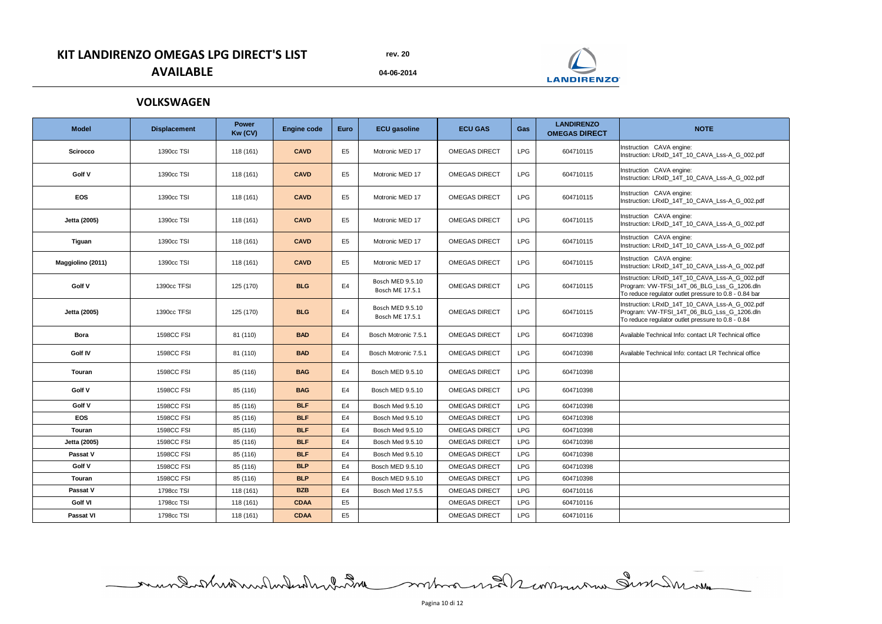**04-06-2014**

# **KIT LANDIRENZO OMEGAS LPG DIRECT'S LIST AVAILABLE**

| <b>Model</b>      | <b>Displacement</b> | <b>Power</b><br>Kw (CV) | <b>Engine code</b> | <b>Euro</b>    | <b>ECU gasoline</b>                 | <b>ECU GAS</b>       | Gas        | <b>LANDIRENZO</b><br><b>OMEGAS DIRECT</b> | <b>NOTE</b>                                                                                                                                           |
|-------------------|---------------------|-------------------------|--------------------|----------------|-------------------------------------|----------------------|------------|-------------------------------------------|-------------------------------------------------------------------------------------------------------------------------------------------------------|
| <b>Scirocco</b>   | 1390cc TSI          | 118 (161)               | <b>CAVD</b>        | E <sub>5</sub> | Motronic MED 17                     | <b>OMEGAS DIRECT</b> | <b>LPG</b> | 604710115                                 | Instruction CAVA engine:<br>Instruction: LRxID_14T_10_CAVA_Lss-A_G_002.pdf                                                                            |
| Golf V            | 1390cc TSI          | 118 (161)               | <b>CAVD</b>        | E <sub>5</sub> | Motronic MED 17                     | <b>OMEGAS DIRECT</b> | <b>LPG</b> | 604710115                                 | Instruction CAVA engine:<br>Instruction: LRxID_14T_10_CAVA_Lss-A_G_002.pdf                                                                            |
| <b>EOS</b>        | 1390cc TSI          | 118 (161)               | <b>CAVD</b>        | E <sub>5</sub> | Motronic MED 17                     | <b>OMEGAS DIRECT</b> | <b>LPG</b> | 604710115                                 | Instruction CAVA engine:<br>Instruction: LRxID_14T_10_CAVA_Lss-A_G_002.pdf                                                                            |
| Jetta (2005)      | 1390cc TSI          | 118(161)                | <b>CAVD</b>        | E <sub>5</sub> | Motronic MED 17                     | <b>OMEGAS DIRECT</b> | <b>LPG</b> | 604710115                                 | Instruction CAVA engine:<br>Instruction: LRxID_14T_10_CAVA_Lss-A_G_002.pdf                                                                            |
| <b>Tiguan</b>     | 1390cc TSI          | 118 (161)               | <b>CAVD</b>        | E <sub>5</sub> | Motronic MED 17                     | <b>OMEGAS DIRECT</b> | <b>LPG</b> | 604710115                                 | Instruction CAVA engine:<br>Instruction: LRxID_14T_10_CAVA_Lss-A_G_002.pdf                                                                            |
| Maggiolino (2011) | 1390cc TSI          | 118 (161)               | <b>CAVD</b>        | E <sub>5</sub> | Motronic MED 17                     | <b>OMEGAS DIRECT</b> | <b>LPG</b> | 604710115                                 | Instruction CAVA engine:<br>Instruction: LRxID_14T_10_CAVA_Lss-A_G_002.pdf                                                                            |
| <b>Golf V</b>     | 1390cc TFSI         | 125 (170)               | <b>BLG</b>         | E4             | Bosch MED 9.5.10<br>Bosch ME 17.5.1 | <b>OMEGAS DIRECT</b> | <b>LPG</b> | 604710115                                 | Instruction: LRxID_14T_10_CAVA_Lss-A_G_002.pdf<br>Program: VW-TFSI_14T_06_BLG_Lss_G_1206.dln<br>To reduce regulator outlet pressure to 0.8 - 0.84 bar |
| Jetta (2005)      | 1390cc TFSI         | 125 (170)               | <b>BLG</b>         | E4             | Bosch MED 9.5.10<br>Bosch ME 17.5.1 | <b>OMEGAS DIRECT</b> | <b>LPG</b> | 604710115                                 | Instruction: LRxID_14T_10_CAVA_Lss-A_G_002.pdf<br>Program: VW-TFSI_14T_06_BLG_Lss_G_1206.dln<br>To reduce regulator outlet pressure to 0.8 - 0.84     |
| <b>Bora</b>       | <b>1598CC FSI</b>   | 81 (110)                | <b>BAD</b>         | E4             | Bosch Motronic 7.5.1                | <b>OMEGAS DIRECT</b> | <b>LPG</b> | 604710398                                 | Available Technical Info: contact LR Technical office                                                                                                 |
| <b>Golf IV</b>    | <b>1598CC FSI</b>   | 81 (110)                | <b>BAD</b>         | E4             | Bosch Motronic 7.5.1                | <b>OMEGAS DIRECT</b> | <b>LPG</b> | 604710398                                 | Available Technical Info: contact LR Technical office                                                                                                 |
| <b>Touran</b>     | <b>1598CC FSI</b>   | 85 (116)                | <b>BAG</b>         | E4             | Bosch MED 9.5.10                    | <b>OMEGAS DIRECT</b> | <b>LPG</b> | 604710398                                 |                                                                                                                                                       |
| Golf V            | <b>1598CC FSI</b>   | 85 (116)                | <b>BAG</b>         | E4             | Bosch MED 9.5.10                    | <b>OMEGAS DIRECT</b> | <b>LPG</b> | 604710398                                 |                                                                                                                                                       |
| Golf V            | <b>1598CC FSI</b>   | 85 (116)                | <b>BLF</b>         | E4             | Bosch Med 9.5.10                    | <b>OMEGAS DIRECT</b> | <b>LPG</b> | 604710398                                 |                                                                                                                                                       |
| <b>EOS</b>        | <b>1598CC FSI</b>   | 85 (116)                | <b>BLF</b>         | E4             | Bosch Med 9.5.10                    | <b>OMEGAS DIRECT</b> | <b>LPG</b> | 604710398                                 |                                                                                                                                                       |
| Touran            | <b>1598CC FSI</b>   | 85 (116)                | <b>BLF</b>         | E4             | Bosch Med 9.5.10                    | <b>OMEGAS DIRECT</b> | <b>LPG</b> | 604710398                                 |                                                                                                                                                       |
| Jetta (2005)      | <b>1598CC FSI</b>   | 85 (116)                | <b>BLF</b>         | E4             | Bosch Med 9.5.10                    | <b>OMEGAS DIRECT</b> | <b>LPG</b> | 604710398                                 |                                                                                                                                                       |
| Passat V          | <b>1598CC FSI</b>   | 85 (116)                | <b>BLF</b>         | E4             | Bosch Med 9.5.10                    | <b>OMEGAS DIRECT</b> | <b>LPG</b> | 604710398                                 |                                                                                                                                                       |
| Golf V            | <b>1598CC FSI</b>   | 85 (116)                | <b>BLP</b>         | E4             | <b>Bosch MED 9.5.10</b>             | <b>OMEGAS DIRECT</b> | <b>LPG</b> | 604710398                                 |                                                                                                                                                       |
| Touran            | <b>1598CC FSI</b>   | 85 (116)                | <b>BLP</b>         | E4             | Bosch MED 9.5.10                    | <b>OMEGAS DIRECT</b> | <b>LPG</b> | 604710398                                 |                                                                                                                                                       |
| Passat V          | 1798cc TSI          | 118 (161)               | <b>BZB</b>         | E4             | Bosch Med 17.5.5                    | <b>OMEGAS DIRECT</b> | <b>LPG</b> | 604710116                                 |                                                                                                                                                       |
| <b>Golf VI</b>    | 1798cc TSI          | 118 (161)               | <b>CDAA</b>        | E <sub>5</sub> |                                     | <b>OMEGAS DIRECT</b> | <b>LPG</b> | 604710116                                 |                                                                                                                                                       |
| <b>Passat VI</b>  | 1798cc TSI          | 118 (161)               | <b>CDAA</b>        | E <sub>5</sub> |                                     | <b>OMEGAS DIRECT</b> | <b>LPG</b> | 604710116                                 |                                                                                                                                                       |

mundistribution des montages en 1998

## **VOLKSWAGEN**

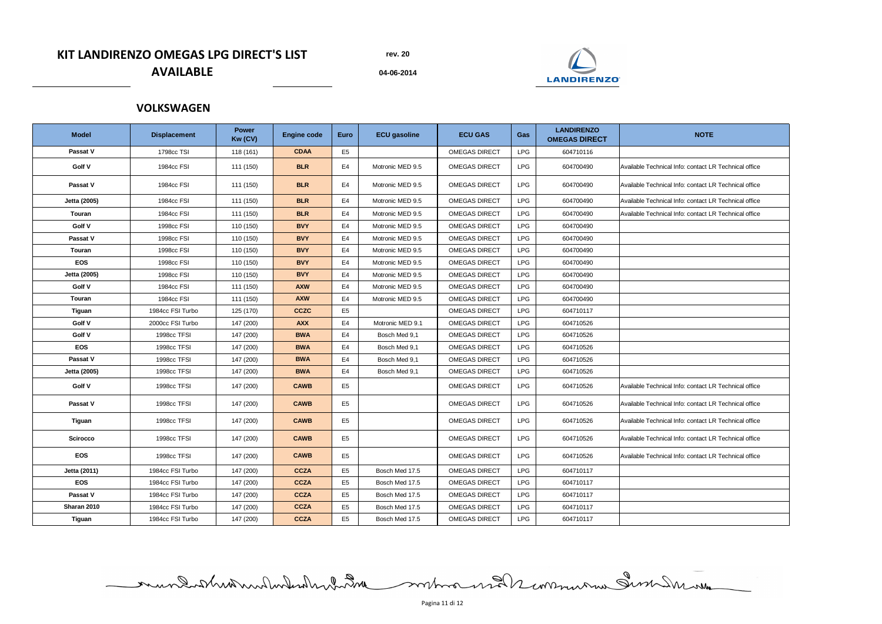**04-06-2014**

# **KIT LANDIRENZO OMEGAS LPG DIRECT'S LIST AVAILABLE**

| <b>Model</b>    | <b>Displacement</b> | <b>Power</b><br>Kw (CV) | <b>Engine code</b> | <b>Euro</b>    | <b>ECU gasoline</b> | <b>ECU GAS</b>       | Gas        | <b>LANDIRENZO</b><br><b>OMEGAS DIRECT</b> | <b>NOTE</b>                                           |
|-----------------|---------------------|-------------------------|--------------------|----------------|---------------------|----------------------|------------|-------------------------------------------|-------------------------------------------------------|
| <b>Passat V</b> | 1798cc TSI          | 118 (161)               | <b>CDAA</b>        | E <sub>5</sub> |                     | <b>OMEGAS DIRECT</b> | <b>LPG</b> | 604710116                                 |                                                       |
| <b>Golf V</b>   | 1984cc FSI          | 111 (150)               | <b>BLR</b>         | E <sub>4</sub> | Motronic MED 9.5    | <b>OMEGAS DIRECT</b> | <b>LPG</b> | 604700490                                 | Available Technical Info: contact LR Technical office |
| Passat V        | 1984cc FSI          | 111 (150)               | <b>BLR</b>         | E4             | Motronic MED 9.5    | <b>OMEGAS DIRECT</b> | <b>LPG</b> | 604700490                                 | Available Technical Info: contact LR Technical office |
| Jetta (2005)    | 1984cc FSI          | 111 (150)               | <b>BLR</b>         | E4             | Motronic MED 9.5    | <b>OMEGAS DIRECT</b> | <b>LPG</b> | 604700490                                 | Available Technical Info: contact LR Technical office |
| Touran          | 1984cc FSI          | 111 (150)               | <b>BLR</b>         | E4             | Motronic MED 9.5    | <b>OMEGAS DIRECT</b> | <b>LPG</b> | 604700490                                 | Available Technical Info: contact LR Technical office |
| <b>Golf V</b>   | 1998cc FSI          | 110 (150)               | <b>BVY</b>         | E <sub>4</sub> | Motronic MED 9.5    | <b>OMEGAS DIRECT</b> | <b>LPG</b> | 604700490                                 |                                                       |
| <b>Passat V</b> | 1998cc FSI          | 110 (150)               | <b>BVY</b>         | E4             | Motronic MED 9.5    | <b>OMEGAS DIRECT</b> | <b>LPG</b> | 604700490                                 |                                                       |
| Touran          | 1998cc FSI          | 110 (150)               | <b>BVY</b>         | E <sub>4</sub> | Motronic MED 9.5    | <b>OMEGAS DIRECT</b> | <b>LPG</b> | 604700490                                 |                                                       |
| <b>EOS</b>      | 1998cc FSI          | 110 (150)               | <b>BVY</b>         | E4             | Motronic MED 9.5    | <b>OMEGAS DIRECT</b> | <b>LPG</b> | 604700490                                 |                                                       |
| Jetta (2005)    | 1998cc FSI          | 110 (150)               | <b>BVY</b>         | E <sub>4</sub> | Motronic MED 9.5    | <b>OMEGAS DIRECT</b> | <b>LPG</b> | 604700490                                 |                                                       |
| <b>Golf V</b>   | 1984cc FSI          | 111 (150)               | <b>AXW</b>         | E <sub>4</sub> | Motronic MED 9.5    | <b>OMEGAS DIRECT</b> | <b>LPG</b> | 604700490                                 |                                                       |
| <b>Touran</b>   | 1984cc FSI          | 111 (150)               | <b>AXW</b>         | E4             | Motronic MED 9.5    | <b>OMEGAS DIRECT</b> | <b>LPG</b> | 604700490                                 |                                                       |
| <b>Tiguan</b>   | 1984cc FSI Turbo    | 125 (170)               | <b>CCZC</b>        | E <sub>5</sub> |                     | <b>OMEGAS DIRECT</b> | <b>LPG</b> | 604710117                                 |                                                       |
| <b>Golf V</b>   | 2000cc FSI Turbo    | 147 (200)               | <b>AXX</b>         | E4             | Motronic MED 9.1    | <b>OMEGAS DIRECT</b> | <b>LPG</b> | 604710526                                 |                                                       |
| Golf V          | 1998cc TFSI         | 147 (200)               | <b>BWA</b>         | E <sub>4</sub> | Bosch Med 9,1       | <b>OMEGAS DIRECT</b> | <b>LPG</b> | 604710526                                 |                                                       |
| <b>EOS</b>      | 1998cc TFSI         | 147 (200)               | <b>BWA</b>         | E4             | Bosch Med 9,1       | <b>OMEGAS DIRECT</b> | <b>LPG</b> | 604710526                                 |                                                       |
| Passat V        | 1998cc TFSI         | 147 (200)               | <b>BWA</b>         | E <sub>4</sub> | Bosch Med 9,1       | <b>OMEGAS DIRECT</b> | <b>LPG</b> | 604710526                                 |                                                       |
| Jetta (2005)    | 1998cc TFSI         | 147 (200)               | <b>BWA</b>         | E4             | Bosch Med 9,1       | <b>OMEGAS DIRECT</b> | <b>LPG</b> | 604710526                                 |                                                       |
| <b>Golf V</b>   | 1998cc TFSI         | 147 (200)               | <b>CAWB</b>        | E <sub>5</sub> |                     | <b>OMEGAS DIRECT</b> | <b>LPG</b> | 604710526                                 | Available Technical Info: contact LR Technical office |
| Passat V        | 1998cc TFSI         | 147 (200)               | <b>CAWB</b>        | E <sub>5</sub> |                     | <b>OMEGAS DIRECT</b> | <b>LPG</b> | 604710526                                 | Available Technical Info: contact LR Technical office |
| <b>Tiguan</b>   | 1998cc TFSI         | 147 (200)               | <b>CAWB</b>        | E <sub>5</sub> |                     | <b>OMEGAS DIRECT</b> | <b>LPG</b> | 604710526                                 | Available Technical Info: contact LR Technical office |
| <b>Scirocco</b> | 1998cc TFSI         | 147 (200)               | <b>CAWB</b>        | E <sub>5</sub> |                     | <b>OMEGAS DIRECT</b> | <b>LPG</b> | 604710526                                 | Available Technical Info: contact LR Technical office |
| <b>EOS</b>      | 1998cc TFSI         | 147 (200)               | <b>CAWB</b>        | E <sub>5</sub> |                     | <b>OMEGAS DIRECT</b> | <b>LPG</b> | 604710526                                 | Available Technical Info: contact LR Technical office |
| Jetta (2011)    | 1984cc FSI Turbo    | 147 (200)               | <b>CCZA</b>        | E <sub>5</sub> | Bosch Med 17.5      | <b>OMEGAS DIRECT</b> | <b>LPG</b> | 604710117                                 |                                                       |
| <b>EOS</b>      | 1984cc FSI Turbo    | 147 (200)               | <b>CCZA</b>        | E <sub>5</sub> | Bosch Med 17.5      | <b>OMEGAS DIRECT</b> | <b>LPG</b> | 604710117                                 |                                                       |
| Passat V        | 1984cc FSI Turbo    | 147 (200)               | <b>CCZA</b>        | E <sub>5</sub> | Bosch Med 17.5      | <b>OMEGAS DIRECT</b> | <b>LPG</b> | 604710117                                 |                                                       |
| Sharan 2010     | 1984cc FSI Turbo    | 147 (200)               | <b>CCZA</b>        | E <sub>5</sub> | Bosch Med 17.5      | <b>OMEGAS DIRECT</b> | <b>LPG</b> | 604710117                                 |                                                       |
| <b>Tiguan</b>   | 1984cc FSI Turbo    | 147 (200)               | <b>CCZA</b>        | E <sub>5</sub> | Bosch Med 17.5      | <b>OMEGAS DIRECT</b> | <b>LPG</b> | 604710117                                 |                                                       |

**VOLKSWAGEN**

Pagina 11 di 12

mundatheater de la communication de la communication